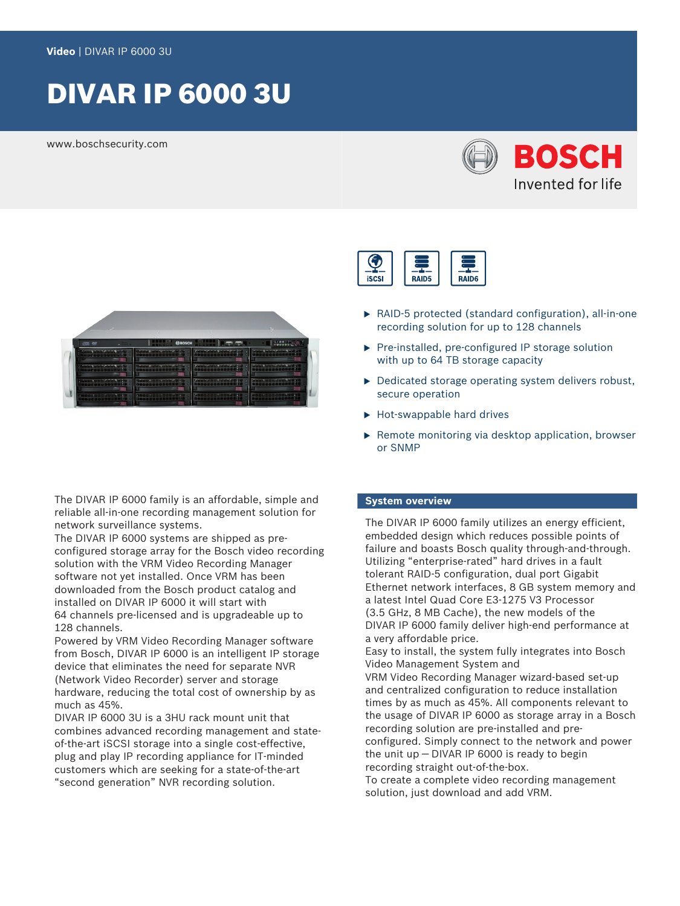# DIVAR IP 6000 3U

www.boschsecurity.com





The DIVAR IP 6000 family is an affordable, simple and reliable all-in-one recording management solution for network surveillance systems.

The DIVAR IP 6000 systems are shipped as preconfigured storage array for the Bosch video recording solution with the VRM Video Recording Manager software not yet installed. Once VRM has been downloaded from the Bosch product catalog and installed on DIVAR IP 6000 it will start with 64 channels pre-licensed and is upgradeable up to 128 channels.

Powered by VRM Video Recording Manager software from Bosch, DIVAR IP 6000 is an intelligent IP storage device that eliminates the need for separate NVR (Network Video Recorder) server and storage hardware, reducing the total cost of ownership by as much as 45%.

DIVAR IP 6000 3U is a 3HU rack mount unit that combines advanced recording management and stateof-the-art iSCSI storage into a single cost-effective, plug and play IP recording appliance for IT-minded customers which are seeking for a state-of-the-art "second generation" NVR recording solution.



- $\triangleright$  RAID-5 protected (standard configuration), all-in-one recording solution for up to 128 channels
- $\blacktriangleright$  Pre-installed, pre-configured IP storage solution with up to 64 TB storage capacity
- $\triangleright$  Dedicated storage operating system delivers robust, secure operation
- $\blacktriangleright$  Hot-swappable hard drives
- $\blacktriangleright$  Remote monitoring via desktop application, browser or SNMP

#### **System overview**

The DIVAR IP 6000 family utilizes an energy efficient, embedded design which reduces possible points of failure and boasts Bosch quality through-and-through. Utilizing "enterprise-rated" hard drives in a fault tolerant RAID-5 configuration, dual port Gigabit Ethernet network interfaces, 8 GB system memory and a latest Intel Quad Core E3-1275 V3 Processor (3.5 GHz, 8 MB Cache), the new models of the DIVAR IP 6000 family deliver high-end performance at a very affordable price.

Easy to install, the system fully integrates into Bosch Video Management System and

VRM Video Recording Manager wizard-based set-up and centralized configuration to reduce installation times by as much as 45%. All components relevant to the usage of DIVAR IP 6000 as storage array in a Bosch recording solution are pre-installed and preconfigured. Simply connect to the network and power the unit up — DIVAR IP 6000 is ready to begin

recording straight out-of-the-box.

To create a complete video recording management solution, just download and add VRM.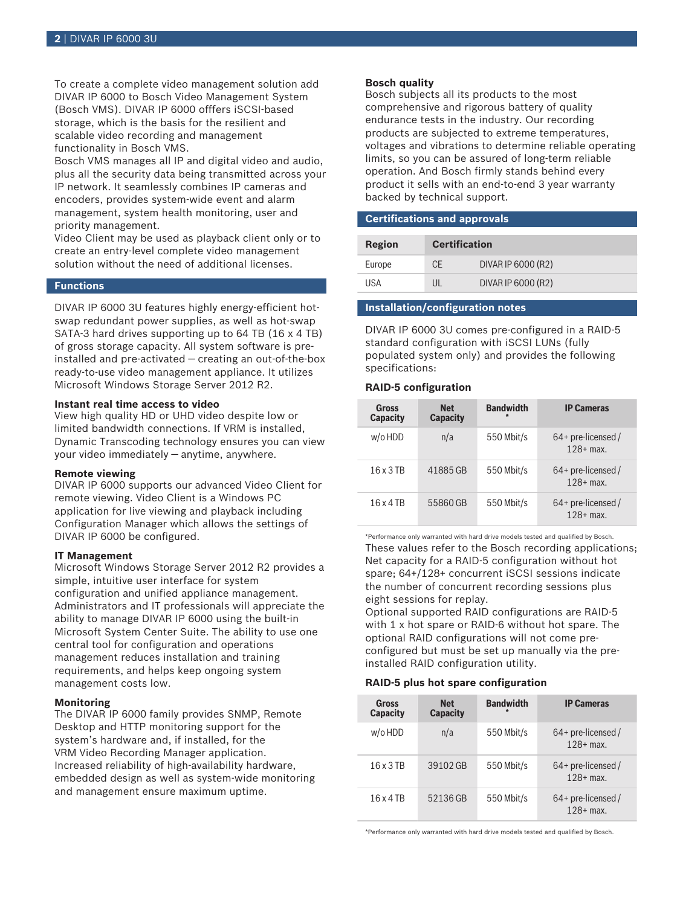To create a complete video management solution add DIVAR IP 6000 to Bosch Video Management System (Bosch VMS). DIVAR IP 6000 offfers iSCSI-based storage, which is the basis for the resilient and scalable video recording and management functionality in Bosch VMS.

Bosch VMS manages all IP and digital video and audio, plus all the security data being transmitted across your IP network. It seamlessly combines IP cameras and encoders, provides system-wide event and alarm management, system health monitoring, user and priority management.

Video Client may be used as playback client only or to create an entry-level complete video management solution without the need of additional licenses.

#### **Functions**

DIVAR IP 6000 3U features highly energy-efficient hotswap redundant power supplies, as well as hot-swap SATA-3 hard drives supporting up to 64 TB (16 x 4 TB) of gross storage capacity. All system software is preinstalled and pre-activated — creating an out-of-the-box ready-to-use video management appliance. It utilizes Microsoft Windows Storage Server 2012 R2.

#### **Instant real time access to video**

View high quality HD or UHD video despite low or limited bandwidth connections. If VRM is installed, Dynamic Transcoding technology ensures you can view your video immediately — anytime, anywhere.

#### **Remote viewing**

DIVAR IP 6000 supports our advanced Video Client for remote viewing. Video Client is a Windows PC application for live viewing and playback including Configuration Manager which allows the settings of DIVAR IP 6000 be configured.

#### **IT Management**

Microsoft Windows Storage Server 2012 R2 provides a simple, intuitive user interface for system configuration and unified appliance management. Administrators and IT professionals will appreciate the ability to manage DIVAR IP 6000 using the built-in Microsoft System Center Suite. The ability to use one central tool for configuration and operations management reduces installation and training requirements, and helps keep ongoing system management costs low.

#### **Monitoring**

The DIVAR IP 6000 family provides SNMP, Remote Desktop and HTTP monitoring support for the system's hardware and, if installed, for the VRM Video Recording Manager application. Increased reliability of high-availability hardware, embedded design as well as system-wide monitoring and management ensure maximum uptime.

#### **Bosch quality**

Bosch subjects all its products to the most comprehensive and rigorous battery of quality endurance tests in the industry. Our recording products are subjected to extreme temperatures, voltages and vibrations to determine reliable operating limits, so you can be assured of long-term reliable operation. And Bosch firmly stands behind every product it sells with an end-to-end 3 year warranty backed by technical support.

#### **Certifications and approvals**

| Region | <b>Certification</b> |                    |
|--------|----------------------|--------------------|
| Europe | CF                   | DIVAR IP 6000 (R2) |
| USA    | UI                   | DIVAR IP 6000 (R2) |

#### **Installation/configuration notes**

DIVAR IP 6000 3U comes pre-configured in a RAID‑5 standard configuration with iSCSI LUNs (fully populated system only) and provides the following specifications:

#### **RAID‑5 configuration**

| Gross<br><b>Capacity</b> | <b>Net</b><br><b>Capacity</b> | <b>Bandwidth</b><br>$\star$ | <b>IP Cameras</b>                   |
|--------------------------|-------------------------------|-----------------------------|-------------------------------------|
| w/o HDD                  | n/a                           | 550 Mbit/s                  | $64+$ pre-licensed /<br>$128+$ max. |
| 16 x 3 TB                | 41885 GB                      | 550 Mbit/s                  | $64+$ pre-licensed /<br>$128+$ max. |
| $16 \times 4$ TR         | 55860 GB                      | 550 Mbit/s                  | $64+$ pre-licensed /<br>$128+$ max. |

\*Performance only warranted with hard drive models tested and qualified by Bosch. These values refer to the Bosch recording applications; Net capacity for a RAID‑5 configuration without hot spare; 64+/128+ concurrent iSCSI sessions indicate the number of concurrent recording sessions plus eight sessions for replay.

Optional supported RAID configurations are RAID‑5 with 1 x hot spare or RAID-6 without hot spare. The optional RAID configurations will not come preconfigured but must be set up manually via the preinstalled RAID configuration utility.

#### **RAID‑5 plus hot spare configuration**

| Gross<br><b>Capacity</b> | <b>Net</b><br><b>Capacity</b> | <b>Bandwidth</b> | <b>IP Cameras</b>                   |
|--------------------------|-------------------------------|------------------|-------------------------------------|
| $w$ /o HDD               | n/a                           | 550 Mbit/s       | $64+$ pre-licensed /<br>$128+$ max. |
| 16 x 3 TB                | 39102 GB                      | 550 Mbit/s       | $64+$ pre-licensed /<br>$128+$ max. |
| 16 x 4 TB                | 52136 GB                      | 550 Mbit/s       | $64+$ pre-licensed /<br>$128+$ max. |

\*Performance only warranted with hard drive models tested and qualified by Bosch.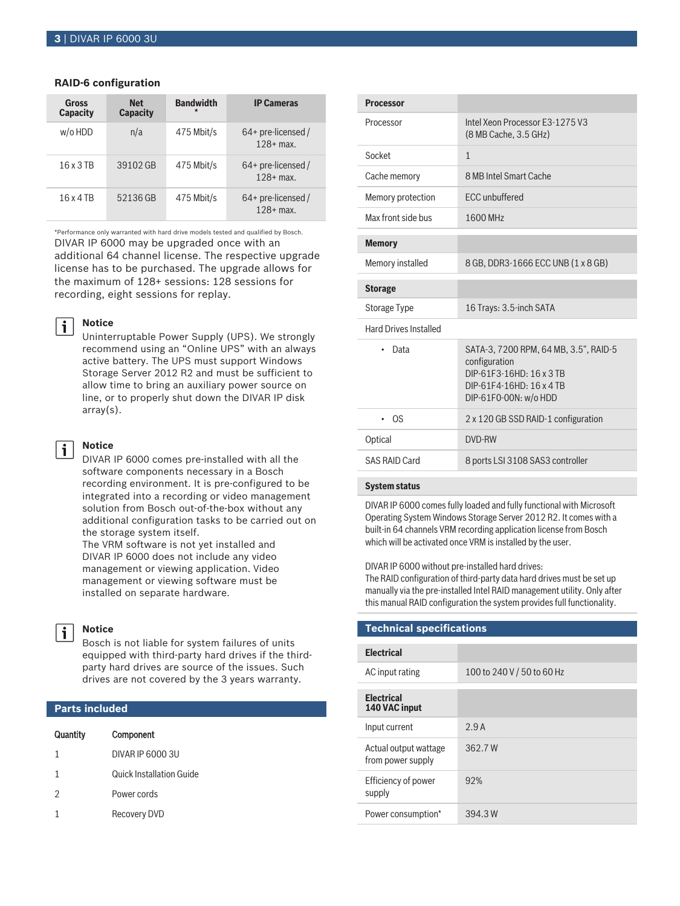#### **RAID‑6 configuration**

| Gross<br><b>Capacity</b> | <b>Net</b><br><b>Capacity</b> | <b>Bandwidth</b><br>$\star$ | <b>IP Cameras</b>                   |
|--------------------------|-------------------------------|-----------------------------|-------------------------------------|
| $w$ /o HDD               | n/a                           | 475 Mbit/s                  | $64+$ pre-licensed /<br>$128 + max$ |
| 16 x 3 TB                | 39102 GB                      | 475 Mbit/s                  | $64+$ pre-licensed /<br>$128+$ max. |
| 16 x 4 TR                | 52136 GB                      | 475 Mbit/s                  | 64+ pre-licensed /<br>$128+$ max.   |

\*Performance only warranted with hard drive models tested and qualified by Bosch. DIVAR IP 6000 may be upgraded once with an additional 64 channel license. The respective upgrade license has to be purchased. The upgrade allows for the maximum of 128+ sessions: 128 sessions for recording, eight sessions for replay.

#### **Notice**

 $\mathbf i$ 

Uninterruptable Power Supply (UPS). We strongly recommend using an "Online UPS" with an always active battery. The UPS must support Windows Storage Server 2012 R2 and must be sufficient to allow time to bring an auxiliary power source on line, or to properly shut down the DIVAR IP disk array(s).

#### **Notice**

i

DIVAR IP 6000 comes pre-installed with all the software components necessary in a Bosch recording environment. It is pre-configured to be integrated into a recording or video management solution from Bosch out-of-the-box without any additional configuration tasks to be carried out on the storage system itself.

The VRM software is not yet installed and DIVAR IP 6000 does not include any video management or viewing application. Video management or viewing software must be installed on separate hardware.



### **Notice**

Bosch is not liable for system failures of units equipped with third-party hard drives if the thirdparty hard drives are source of the issues. Such drives are not covered by the 3 years warranty.

#### **Parts included**

| Quantity       | Component                       |
|----------------|---------------------------------|
| 1              | DIVAR IP 6000 3U                |
| 1              | <b>Quick Installation Guide</b> |
| $\mathfrak{D}$ | Power cords                     |
|                | Recovery DVD                    |
|                |                                 |

| <b>Processor</b>             |                                                                                                                                         |
|------------------------------|-----------------------------------------------------------------------------------------------------------------------------------------|
| Processor                    | Intel Xeon Processor F3-1275 V3<br>(8 MB Cache, 3.5 GHz)                                                                                |
| Socket                       | $\mathbf{1}$                                                                                                                            |
| Cache memory                 | 8 MB Intel Smart Cache                                                                                                                  |
| Memory protection            | <b>ECC</b> unbuffered                                                                                                                   |
| Max front side bus           | 1600 MHz                                                                                                                                |
| <b>Memory</b>                |                                                                                                                                         |
| Memory installed             | 8 GB, DDR3-1666 ECC UNB (1 x 8 GB)                                                                                                      |
| <b>Storage</b>               |                                                                                                                                         |
| <b>Storage Type</b>          | 16 Trays: 3.5-inch SATA                                                                                                                 |
| <b>Hard Drives Installed</b> |                                                                                                                                         |
| Data                         | SATA-3, 7200 RPM, 64 MB, 3.5", RAID-5<br>configuration<br>DIP-61F3-16HD: 16 x 3 TB<br>DIP-61F4-16HD: 16 x 4 TB<br>DIP-61F0-00N: w/o HDD |
| 0S                           | 2 x 120 GB SSD RAID-1 configuration                                                                                                     |
| Optical                      | DVD-RW                                                                                                                                  |
| SAS RAID Card                | 8 ports LSI 3108 SAS3 controller                                                                                                        |
|                              |                                                                                                                                         |

#### **System status**

DIVAR IP 6000 comes fully loaded and fully functional with Microsoft Operating System Windows Storage Server 2012 R2. It comes with a built-in 64 channels VRM recording application license from Bosch which will be activated once VRM is installed by the user.

#### DIVAR IP 6000 without pre-installed hard drives:

The RAID configuration of third-party data hard drives must be set up manually via the pre-installed Intel RAID management utility. Only after this manual RAID configuration the system provides full functionality.

| Technical specifications                   |                            |  |
|--------------------------------------------|----------------------------|--|
|                                            |                            |  |
| <b>Electrical</b>                          |                            |  |
| AC input rating                            | 100 to 240 V / 50 to 60 Hz |  |
| <b>Electrical</b><br>140 VAC input         |                            |  |
| Input current                              | 2.9A                       |  |
| Actual output wattage<br>from power supply | 362.7W                     |  |
| Efficiency of power<br>supply              | 92%                        |  |
| Power consumption*                         | 394.3 W                    |  |
|                                            |                            |  |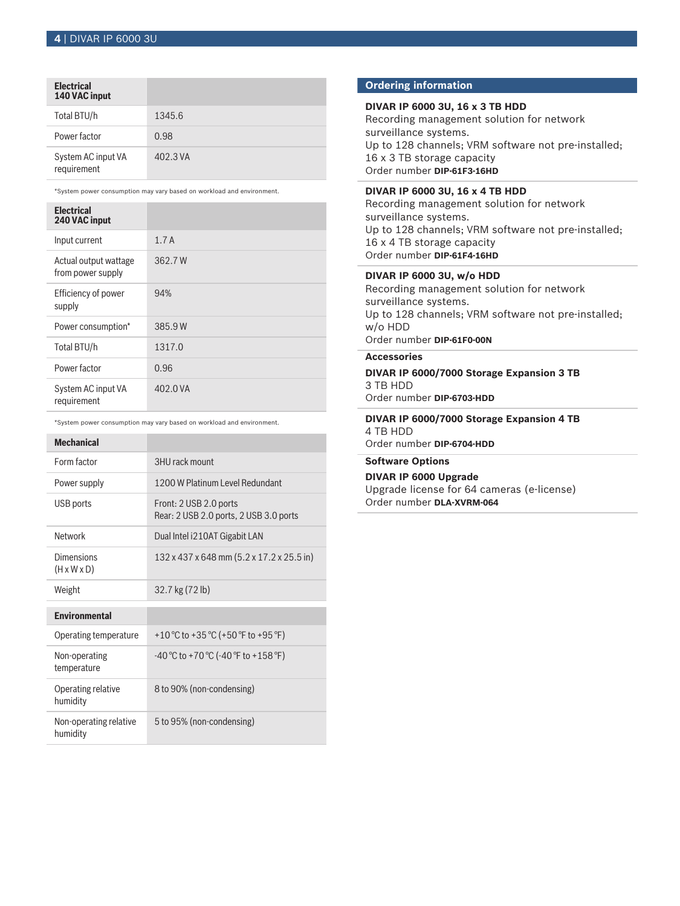### **Electrical**

| 140 VAC input                     |          |
|-----------------------------------|----------|
| Total BTU/h                       | 1345.6   |
| Power factor                      | 0.98     |
| System AC input VA<br>requirement | 402.3 VA |

\*System power consumption may vary based on workload and environment.

| <b>Electrical</b><br>240 VAC input         |          |
|--------------------------------------------|----------|
| Input current                              | 1.7A     |
| Actual output wattage<br>from power supply | 362.7W   |
| Efficiency of power<br>supply              | 94%      |
| Power consumption*                         | 385.9W   |
| Total BTU/h                                | 1317.0   |
| Power factor                               | 0.96     |
| System AC input VA<br>requirement          | 402.0 VA |

\*System power consumption may vary based on workload and environment.

| <b>Mechanical</b>                     |                                                                  |
|---------------------------------------|------------------------------------------------------------------|
| Form factor                           | 3HU rack mount                                                   |
| Power supply                          | 1200 W Platinum Level Redundant                                  |
| USB ports                             | Front: 2 USB 2.0 ports<br>Rear: 2 USB 2.0 ports, 2 USB 3.0 ports |
| Network                               | Dual Intel i210AT Gigabit LAN                                    |
| Dimensions<br>$(H \times W \times D)$ | 132 x 437 x 648 mm (5.2 x 17.2 x 25.5 in)                        |
| Weight                                | 32.7 kg (72 lb)                                                  |
| <b>Fnvironmental</b>                  |                                                                  |
| Operating temperature                 | +10 °C to +35 °C (+50 °F to +95 °F)                              |
| Non-operating<br>temperature          | $-40$ °C to +70 °C ( $-40$ °F to +158 °F)                        |
| Operating relative<br>humidity        | 8 to 90% (non-condensing)                                        |
| Non-operating relative<br>humidity    | 5 to 95% (non-condensing)                                        |

#### **Ordering information**

#### **DIVAR IP 6000 3U, 16 x 3 TB HDD**

Recording management solution for network surveillance systems. Up to 128 channels; VRM software not pre-installed; 16 x 3 TB storage capacity Order number **DIP-61F3-16HD**

#### **DIVAR IP 6000 3U, 16 x 4 TB HDD**

Recording management solution for network surveillance systems. Up to 128 channels; VRM software not pre-installed; 16 x 4 TB storage capacity Order number **DIP-61F4-16HD**

#### **DIVAR IP 6000 3U, w/o HDD**

Recording management solution for network surveillance systems. Up to 128 channels; VRM software not pre-installed; w/o HDD Order number **DIP-61F0-00N**

### **Accessories**

**DIVAR IP 6000/7000 Storage Expansion 3 TB** 3 TB HDD Order number **DIP-6703-HDD**

#### **DIVAR IP 6000/7000 Storage Expansion 4 TB** 4 TB HDD Order number **DIP-6704-HDD**

#### **Software Options**

**DIVAR IP 6000 Upgrade**

Upgrade license for 64 cameras (e-license) Order number **DLA-XVRM-064**